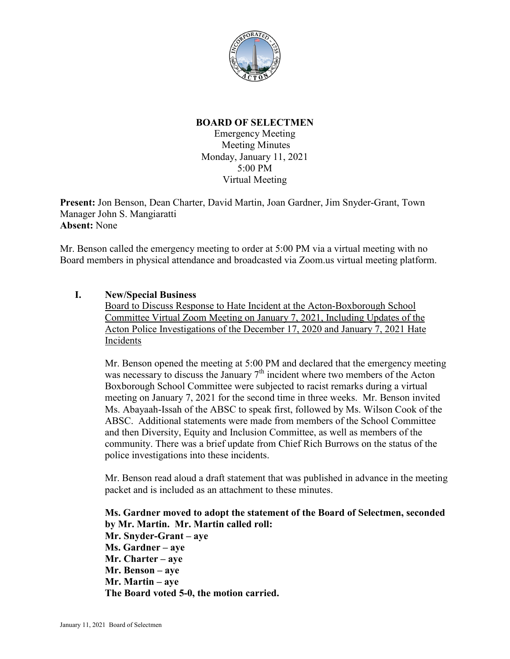

## **BOARD OF SELECTMEN**

Emergency Meeting Meeting Minutes Monday, January 11, 2021 5:00 PM Virtual Meeting

**Present:** Jon Benson, Dean Charter, David Martin, Joan Gardner, Jim Snyder-Grant, Town Manager John S. Mangiaratti **Absent:** None

Mr. Benson called the emergency meeting to order at 5:00 PM via a virtual meeting with no Board members in physical attendance and broadcasted via Zoom.us virtual meeting platform.

## **I. New/Special Business**

Board to Discuss Response to Hate Incident at the Acton-Boxborough School Committee Virtual Zoom Meeting on January 7, 2021, Including Updates of the Acton Police Investigations of the December 17, 2020 and January 7, 2021 Hate Incidents

Mr. Benson opened the meeting at 5:00 PM and declared that the emergency meeting was necessary to discuss the January  $7<sup>th</sup>$  incident where two members of the Acton Boxborough School Committee were subjected to racist remarks during a virtual meeting on January 7, 2021 for the second time in three weeks. Mr. Benson invited Ms. Abayaah-Issah of the ABSC to speak first, followed by Ms. Wilson Cook of the ABSC. Additional statements were made from members of the School Committee and then Diversity, Equity and Inclusion Committee, as well as members of the community. There was a brief update from Chief Rich Burrows on the status of the police investigations into these incidents.

Mr. Benson read aloud a draft statement that was published in advance in the meeting packet and is included as an attachment to these minutes.

**Ms. Gardner moved to adopt the statement of the Board of Selectmen, seconded by Mr. Martin. Mr. Martin called roll: Mr. Snyder-Grant – aye Ms. Gardner – aye Mr. Charter – aye Mr. Benson – aye Mr. Martin – aye The Board voted 5-0, the motion carried.**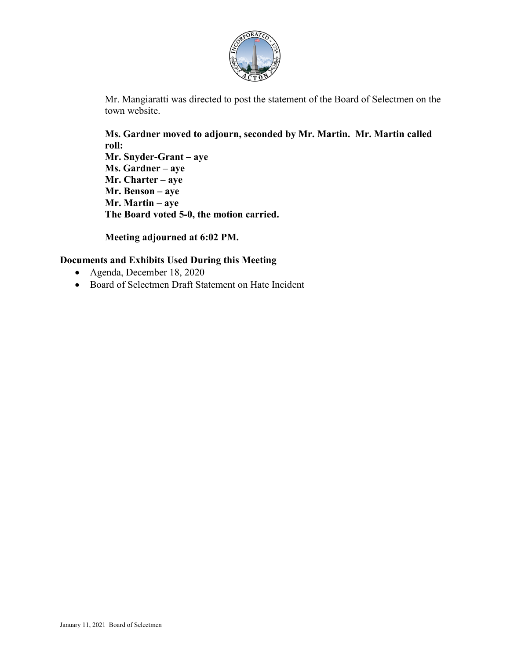

Mr. Mangiaratti was directed to post the statement of the Board of Selectmen on the town website.

**Ms. Gardner moved to adjourn, seconded by Mr. Martin. Mr. Martin called roll: Mr. Snyder-Grant – aye Ms. Gardner – aye Mr. Charter – aye Mr. Benson – aye Mr. Martin – aye The Board voted 5-0, the motion carried.**

**Meeting adjourned at 6:02 PM.**

## **Documents and Exhibits Used During this Meeting**

- Agenda, December 18, 2020
- Board of Selectmen Draft Statement on Hate Incident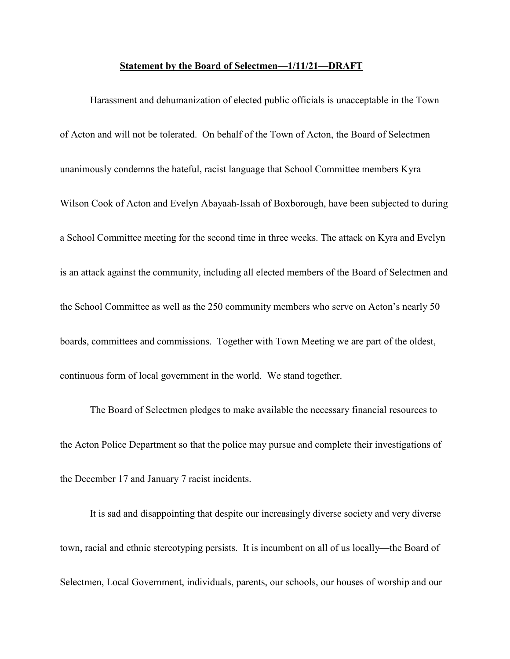## **Statement by the Board of Selectmen—1/11/21—DRAFT**

Harassment and dehumanization of elected public officials is unacceptable in the Town of Acton and will not be tolerated. On behalf of the Town of Acton, the Board of Selectmen unanimously condemns the hateful, racist language that School Committee members Kyra Wilson Cook of Acton and Evelyn Abayaah-Issah of Boxborough, have been subjected to during a School Committee meeting for the second time in three weeks. The attack on Kyra and Evelyn is an attack against the community, including all elected members of the Board of Selectmen and the School Committee as well as the 250 community members who serve on Acton's nearly 50 boards, committees and commissions. Together with Town Meeting we are part of the oldest, continuous form of local government in the world. We stand together.

The Board of Selectmen pledges to make available the necessary financial resources to the Acton Police Department so that the police may pursue and complete their investigations of the December 17 and January 7 racist incidents.

It is sad and disappointing that despite our increasingly diverse society and very diverse town, racial and ethnic stereotyping persists. It is incumbent on all of us locally—the Board of Selectmen, Local Government, individuals, parents, our schools, our houses of worship and our